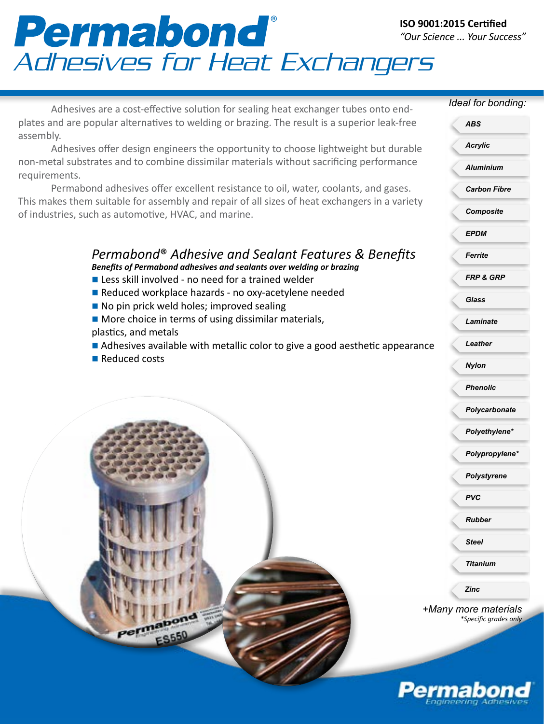## Permabond<br>Adhesives for Heat Exchangers

Adhesives are a cost-effective solution for sealing heat exchanger tubes onto endplates and are popular alternatives to welding or brazing. The result is a superior leak-free assembly.

Adhesives offer design engineers the opportunity to choose lightweight but durable non-metal substrates and to combine dissimilar materials without sacrificing performance requirements.

Permabond adhesives offer excellent resistance to oil, water, coolants, and gases. This makes them suitable for assembly and repair of all sizes of heat exchangers in a variety of industries, such as automotive, HVAC, and marine.

## *Permabond*® *Adhesive and Sealant Features & Benefits Benefits of Permabond adhesives and sealants over welding or brazing*

- $\blacksquare$  Less skill involved no need for a trained welder
- Reduced workplace hazards no oxy-acetylene needed
- $\blacksquare$  No pin prick weld holes; improved sealing
- $\blacksquare$  More choice in terms of using dissimilar materials, plastics, and metals
- $\blacksquare$  Adhesives available with metallic color to give a good aesthetic appearance
- $\blacksquare$  Reduced costs

*Ideal for bonding:*

*+Many more materials \*Specific grades only Acrylic Aluminium Carbon Fibre Composite EPDM Ferrite FRP & GRP Glass Laminate Leather Nylon Phenolic Polycarbonate Polyethylene\* Polypropylene\* Polystyrene PVC Rubber Steel Titanium ABS Zinc*